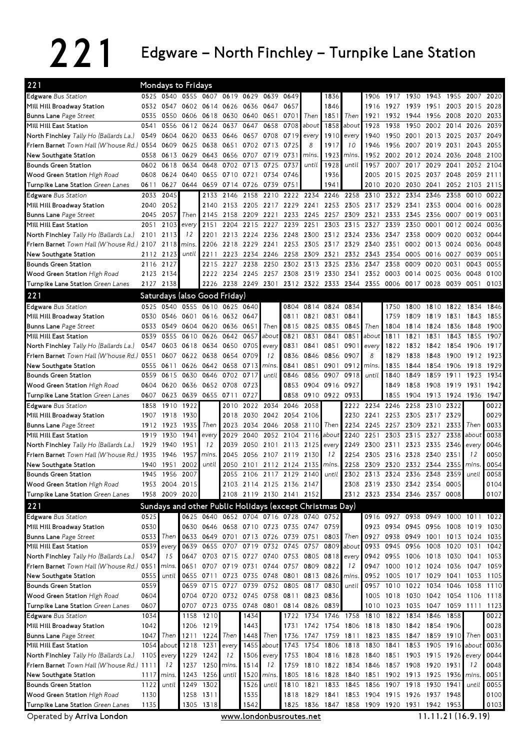## 221 Edgware – North Finchley – Turnpike Lane Station

| 221                                                  |              | <b>Mondays to Fridays</b>                                |              |                                         |                        |                |             |                                    |                |              |                          |             |                                         |              |              |                |                               |                                                      |
|------------------------------------------------------|--------------|----------------------------------------------------------|--------------|-----------------------------------------|------------------------|----------------|-------------|------------------------------------|----------------|--------------|--------------------------|-------------|-----------------------------------------|--------------|--------------|----------------|-------------------------------|------------------------------------------------------|
| <b>Edgware Bus Station</b>                           | 0525         | 0540                                                     |              | 0555 0607 0619 0629                     |                        |                | 0639        | 0649                               |                | 1836         |                          | 1906        | 1917 1930                               |              | 1943         | 1955           | 2007                          | 2020                                                 |
| Mill Hill Broadway Station                           |              | 0532 0547                                                |              | 0602 0614 0626 0636                     |                        |                | 0647        | 0657                               |                | 1846         |                          | 1916        | 1927                                    | 1939         | 1951         | 2003           | 2015                          | 2028                                                 |
| <b>Bunns Lane Page Street</b>                        | 0535         | 0550                                                     |              | 0606 0618 0630 0640 0651                |                        |                |             | 0701                               | Then           | 1851         | Then                     | 1921        | 1932                                    | 1944         | 1956         | 2008           | 2020                          | 2033                                                 |
| Mill Hill East Station                               | 0541         | 0556                                                     |              | 0612 0624                               | 0637                   | 0647           | 0658        | 0708                               | about          | 1858         | about                    | 1928        | 1938                                    | 1950         | 2002         | 2014           | 2026                          | 2039                                                 |
| North Finchley Tally Ho (Ballards La.)               | 0549         | 0604                                                     | 0620         | 0633                                    | 0646                   | 0657           | 0708        | 0719                               | every          | 1910         | every                    | 1940        | 1950                                    | 2001         | 2013         | 2025           | 2037                          | 2049                                                 |
| Friern Barnet Town Hall (W'house Rd.)                | 0554         | 0609                                                     | 0625         | 0638                                    | 0651                   |                | 0702 0713   | 0725                               | 8              | 1917         | 10                       | 1946        | 1956                                    | 2007         | 2019 2031    |                | 2043                          | 2055                                                 |
| New Southgate Station                                | 0558         | 0613                                                     | 0629         | 0643                                    | 0656                   | 0707           | 0719        | 0731                               | mins.          | 1923         | mins.                    | 1952        | 2002                                    | 2012 2024    |              | 2036           | 2048                          | 2100                                                 |
| <b>Bounds Green Station</b>                          | 0602         | 0618                                                     | 0634         | 0648                                    | 0702                   | 0713           | 0725        | 0737                               | until          | 1928         | until                    | 1957        | 2007                                    | 2017         | 2029         | 2041           | 2052                          | 2104                                                 |
| Wood Green Station High Road                         | 0608         | 0624                                                     | 0640         | 0655                                    | 0710 0721              |                | 0734        | 0746                               |                | 1936         |                          | 2005        | 2015                                    | 2025         | 2037         | 2048           | 2059                          | 2111                                                 |
| Turnpike Lane Station Green Lanes                    | 0611         | 0627                                                     | 0644         | 0659                                    | 0714 0726              |                | 0739        | 0751                               |                | 1941         |                          | 2010        | 2020                                    | 2030         | 2041         | 2052           | 2103                          | 2115                                                 |
| <b>Edgware</b> Bus Station                           | 2033         | 2045                                                     |              | 2133                                    | 2146                   | 2158           | 2210        |                                    | 2222 2234      | 2246         | 2258                     | 2310        | 2322                                    | 2334         | 2346         | 2358           | 0010                          | 0022                                                 |
| Mill Hill Broadway Station                           | 2040         | 2052                                                     |              | 2140                                    | 2153                   | 2205           | 2217        | 2229                               | 2241           | 2253         | 2305                     | 2317        | 2329                                    | 2341         | 2353         | 0004           | 0016                          | 0028                                                 |
| <b>Bunns Lane Page Street</b>                        | 2045         | 2057                                                     | Then         | 2145                                    | 2158                   | 2209           | 2221        | 2233                               | 2245           | 2257         | 2309                     | 2321        | 2333                                    | 2345         | 2356         | 0007           | 0019                          | 0031                                                 |
| Mill Hill East Station                               | 2051         | 2103                                                     | everv        | 2151                                    | 2204                   | 2215           | 2227        | 2239                               | 2251           | 2303         | 2315                     | 2327        | 2339                                    | 2350         | 0001         | 0012           | 0024                          | 0036                                                 |
| North Finchley Tally Ho (Ballards La.)               | 2101         | 2113                                                     | 12           | 2201                                    | 2213                   | 2224           | 2236        | 2248                               | 2300           |              | 2312 2324                | 2336        | 2347                                    | 2358         | 0009         | 0020           | 0032                          | 0044                                                 |
| Friern Barnet Town Hall (W'house Rd.) 2107           |              | 2118                                                     | mins.        | 2206                                    | 2218                   | 2229           | 2241        | 2253                               | 2305           | 2317         | 2329                     | 2340        | 2351                                    | 0002         | 0013         | 0024           | 0036                          | 0048                                                 |
| New Southgate Station                                | 2112         | 2123                                                     | until        | 2211                                    | 2223                   | 2234           | 2246        | 2258                               | 2309           | 2321         | 2332                     | 2343        | 2354                                    | 0005         | 0016         | 0027           | 0039                          | 0051                                                 |
| <b>Bounds Green Station</b>                          | 2116         | 2127                                                     |              | 2215                                    | 2227                   | 2238           | 2250        | 2302                               | 2313           | 2325         | 2336                     | 2347        | 2358                                    | 0009         | 0020         | 0031           | 0043                          | 0055                                                 |
| Wood Green Station High Road                         | 2123         | 2134                                                     |              |                                         | 2222 2234 2245 2257    |                |             |                                    |                |              | 2308 2319 2330 2341      | 2352        | 0003                                    | 0014         | 0025         | 0036           | 0048                          | 0100                                                 |
| Turnpike Lane Station Green Lanes                    | 2127         | 2138                                                     |              | 2226                                    |                        | 2238 2249 2301 |             |                                    |                |              | 2312 2322 2333 2344 2355 |             | 0006 0017                               |              | 0028         | 0039           | 0051                          | 0103                                                 |
| 221                                                  |              | Saturdays (also Good Friday)                             |              |                                         |                        |                |             |                                    |                |              |                          |             |                                         |              |              |                |                               |                                                      |
|                                                      |              |                                                          |              |                                         |                        |                |             |                                    |                |              |                          |             |                                         |              |              |                |                               |                                                      |
| <b>Edgware</b> Bus Station                           | 0525         | 0540                                                     | 0555         | 0610                                    |                        | 0625 0640      |             | 0804                               | 0814           | 0824         | 0834                     |             | 1750<br>1759                            | 1800         | 1810         | 1822           | 1834                          | 1846                                                 |
| Mill Hill Broadway Station                           | 0530<br>0533 | 0546<br>0549                                             | 0601<br>0604 | 0620                                    | 0616 0632 0647<br>0636 | 0651           | Then        | 0811<br>0815                       | 0821<br>0825   | 0831<br>0835 | 0841<br>0845             | Then        | 1804                                    | 1809<br>1814 | 1819<br>1824 | 1831<br>1836   | 1843<br>1848                  | 1855<br>1900                                         |
| <b>Bunns Lane</b> Page Street                        |              | 0555                                                     | 0610         |                                         |                        | 0657           | about       | 0821                               | 0831           | 0841         |                          |             | 1811                                    |              |              | 1843           | 1855                          | 1907                                                 |
| Mill Hill East Station                               | 0539<br>0547 | 0603                                                     | 0618         | 0626<br>0634                            | 0642<br>0650           | 0705           |             |                                    | 0841           | 0851         | 0851<br>0901             | about       |                                         | 1821         | 1831<br>1842 |                |                               | 1917                                                 |
| North Finchley Tally Ho (Ballards La.)               |              |                                                          |              | 0638                                    | 0654                   | 0709           | every<br>12 | 0831<br>0836                       | 0846           | 0856         | 0907                     | every<br>8  | 1822<br>1829                            | 1832<br>1838 | 1848         | 1854           | 1906<br>1912                  | 1923                                                 |
| Friern Barnet Town Hall (W'house Rd.) 0551           |              | 0607                                                     | 0622         |                                         |                        |                |             |                                    |                |              |                          |             |                                         |              |              | 1900           |                               |                                                      |
| New Southgate Station                                | 0555         | 0611                                                     |              | 0626 0642                               | 0658                   | 0713           | <i>mins</i> | 0841                               | 0851           | 0901         | 0912                     | <i>mins</i> | 1835                                    | 1844         | 1854         | 1906           | 1918                          | 1929                                                 |
| <b>Bounds Green Station</b>                          | 0559         | 0615                                                     | 0630         | 0646                                    | 0702                   | 0717           | until       | 0846                               | 0856           | 0907         | 0918                     | until       | 1840                                    | 1849         | 1859         | 1911           | 1923                          | 1934                                                 |
| Wood Green Station High Road                         | 0604         | 0620                                                     | 0636         | 0652                                    | 0708                   | 0723           |             | 0853                               | 0904           | 0916         | 0927                     |             | 1849                                    | 1858         | 1908         | 1919           | 1931                          | 1942                                                 |
|                                                      |              |                                                          |              |                                         |                        |                |             |                                    |                |              |                          |             |                                         |              |              |                |                               |                                                      |
| Turnpike Lane Station Green Lanes                    | 0607         | 0623                                                     | 0639 0655    |                                         | 0711                   | 0727           |             | 0858                               | 0910 0922 0933 |              |                          |             | 1855                                    |              | 1904 1913    | 1924 1936      |                               | 1947                                                 |
| <b>Edgware</b> Bus Station                           | 1858         | 1910                                                     | 1922         |                                         | 2010                   | 2022           | 2034        | 2046                               | 2058           |              | 2222                     | 2234        | 2246                                    | 2258         | 2310         | 2322           |                               | 0022                                                 |
| Mill Hill Broadway Station                           | 1907         | 1918                                                     | 1930         |                                         | 2018                   | 2030           | 2042        | 2054                               | 2106           |              | 2230                     | 2241        | 2253                                    | 2305         | 2317         | 2329           |                               | 0029                                                 |
| <b>Bunns Lane Page Street</b>                        | 1912         | 1923                                                     | 1935         | Then                                    | 2023                   | 2034           | 2046        | 2058                               | 2110           | Then         | 2234                     | 2245        | 2257                                    | 2309         | 2321         | 2333           | Then                          | 0033                                                 |
| Mill Hill East Station                               | 1919         | 1930                                                     | 1941         | every                                   | 2029                   | 2040           | 2052        | 2104                               | 2116           | about        | 2240                     | 2251        | 2303                                    | 2315         | 2327         | 2338           | about                         | 0038                                                 |
| North Finchley Tally Ho (Ballards La.)               | 1929         | 1940                                                     | 1951         | 12                                      | 2039                   | 2050           | 2101        |                                    | 2113 2125      | every        | 2249                     | 2300        | 2311                                    | 2323         | 2335         | 2346           | every                         | 0046                                                 |
| Friern Barnet Town Hall (W'house Rd.) 1935           |              | 1946                                                     | 1957         | mins.                                   | 2045                   | 2056           | 2107        | 2119 2130                          |                | 12           | 2254                     | 2305        | 2316                                    | 2328         | 2340         | 2351           | 12                            | 0050                                                 |
| New Southgate Station                                | 1940         | 1951                                                     | 2002         | until                                   | 2050                   | 2101           | 2112        | 2124 2135                          |                | mins.        | 2258                     | 2309        | 2320                                    | 2332         | 2344         | 2355           | mins.                         | 0054                                                 |
| <b>Bounds Green Station</b>                          | 1945         | 1956                                                     | 2007         |                                         |                        | 2055 2106 2117 |             | 2129                               | 2140           | until        |                          | 2302 2313   | 2324                                    | 2336         | 2348         | 2359           | until                         | 0058                                                 |
| Wood Green Station High Road                         |              | 1953 2004 2015                                           |              |                                         |                        |                |             | 2103 2114 2125 2136 2147           |                |              |                          |             | 2308 2319 2330 2342 2354 0005           |              |              |                |                               | 0104                                                 |
| Turnpike Lane Station Green Lanes                    |              | 1958 2009 2020                                           |              |                                         |                        |                |             | 2108 2119 2130 2141 2152           |                |              |                          |             | 2312 2323 2334 2346 2357 0008           |              |              |                |                               | 0107                                                 |
| 221                                                  |              | Sundays and other Public Holidays (except Christmas Day) |              |                                         |                        |                |             |                                    |                |              |                          |             |                                         |              |              |                |                               |                                                      |
| <b>Edgware</b> Bus Station                           | 0525         |                                                          |              | 0625 0640 0652 0704 0716 0728 0740 0752 |                        |                |             |                                    |                |              |                          |             | 0916 0927 0938 0949 1000 1011 1022      |              |              |                |                               |                                                      |
| Mill Hill Broadway Station                           | 0530         |                                                          |              | 0630 0646 0658 0710 0723 0735 0747 0759 |                        |                |             |                                    |                |              |                          |             | 0923 0934 0945 0956 1008                |              |              |                | 1019 1030                     |                                                      |
| Bunns Lane Page Street                               | 0533         | Then <b>I</b>                                            |              | 0633 0649 0701 0713 0726 0739 0751      |                        |                |             |                                    |                | 0803         | Then                     | 0927        |                                         |              |              |                | 0938 0949 1001 1013 1024 1035 |                                                      |
| Mill Hill East Station                               | 0539         | every                                                    | 0639         |                                         |                        |                |             | 0655 0707 0719 0732 0745 0757      |                | 0809         | about                    | 0933        | 0945 0956                               |              | 1008         | 1020           | 1031                          | 1042                                                 |
| North Finchley Tally Ho (Ballards La.)               | 0547         | 15                                                       | 0647         |                                         |                        |                |             | 0703 0715 0727 0740 0753 0805 0818 |                |              | every                    |             | 0942 0955 1006 1018 1030 1041 1053      |              |              |                |                               |                                                      |
| <b>Friern Barnet</b> Town Hall (W'house Rd.) 0551    |              | mins.                                                    | 0651         |                                         |                        |                |             | 0707 0719 0731 0744 0757 0809 0822 |                |              | 12                       | 0947        |                                         |              |              |                | 1000 1012 1024 1036 1047      | 1059                                                 |
| New Southgate Station                                | 0555         | until                                                    |              | 0655 0711                               |                        |                |             | 0723 0735 0748 0801 0813 0826      |                |              | mins.                    |             | 0952 1005 1017 1029 1041                |              |              |                | 1053 1105                     |                                                      |
| <b>Bounds Green Station</b>                          | 0559         |                                                          |              | 0659 0715 0727 0739                     |                        |                |             | 0752 0805 0817                     |                | 0830         | until                    |             | 0957 1010 1022                          |              | 1034         | 1046           | 1058                          | 1110                                                 |
|                                                      | 0604         |                                                          |              | 0704 0720 0732 0745 0758 0811 0823      |                        |                |             |                                    |                | 0836         |                          |             | 1005 1018 1030 1042 1054 1106           |              |              |                |                               | 1118                                                 |
| Turnpike Lane Station Green Lanes                    | 0607         |                                                          | 0707         |                                         | 0723 0735 0748 0801    |                |             |                                    | 0814 0826      | 0839         |                          | 1010        | 1023 1035 1047 1059 1111                |              |              |                |                               | 1123                                                 |
| <b>Edgware</b> Bus Station                           | 1034         |                                                          | 1158         | 1210                                    |                        | 1434           |             |                                    | 1722 1734      |              | 1746 1758 1810           |             | 1822                                    | 1834         | 1846         | 1858           |                               | 0022                                                 |
| Mill Hill Broadway Station                           | 1042         |                                                          |              | 1206 1219                               |                        | 1443           |             |                                    |                |              |                          |             | 1731 1742 1754 1806 1818 1830 1842 1854 |              |              | 1906           |                               |                                                      |
| Bunns Lane Page Street                               | 1047         | Then                                                     |              | 1211 1224 Then                          |                        |                | 1448 Then   |                                    |                |              |                          |             | 1736 1747 1759 1811 1823 1835 1847      |              |              | 1859 1910 Then |                               |                                                      |
| Mill Hill East Station                               | 1054         | about                                                    | 1218         | 1231                                    | every                  |                | 1455 about  |                                    | 1743 1754      | 1806         | 1818                     | 1830        | 1841                                    | 1853         | 1905         | 1916 about     |                               |                                                      |
| North Finchley Tally Ho (Ballards La.)               | 1105         | every                                                    |              | 1229 1242                               | 12                     |                | 1506 every  |                                    | 1753 1804      |              | 1816 1828                |             | 1840 1851 1903 1915 1926                |              |              |                | every                         |                                                      |
| Friern Barnet Town Hall (W'house Rd.) 1111           |              | 12                                                       | 1237         | 1250 mins.                              |                        | 1514           | 12          |                                    | 1759 1810      |              |                          |             | 1822 1834 1846 1857 1908                |              | 1920 1931    |                | 12                            |                                                      |
| New Southgate Station                                | 1117         | mins.                                                    | 1243         | 1256                                    | until                  | 1520           | mins.       | 1805                               | 1816           |              | 1828 1840                | 1851        | 1902 1913                               |              | 1925         | 1936           | mins.                         |                                                      |
| Wood Green Station High Road<br>Bounds Green Station | 1122         | until                                                    | 1249         | 1302                                    |                        | 1526           | until       |                                    | 1810 1821      |              | 1833 1845                |             | 1856 1907 1918                          |              | 1930 1941    |                | until                         | 0031<br>0051                                         |
| <b>Wood Green Station</b> High Road                  | 1130         |                                                          |              | 1258 1311                               |                        | 1535           |             |                                    | 1818 1829      |              |                          |             | 1841 1853 1904 1915 1926 1937 1948      |              |              |                |                               | 0028<br>0036<br>0044<br>0048<br>0055<br>0100<br>0103 |

Operated by Arriva London

www.londonbusroutes.net